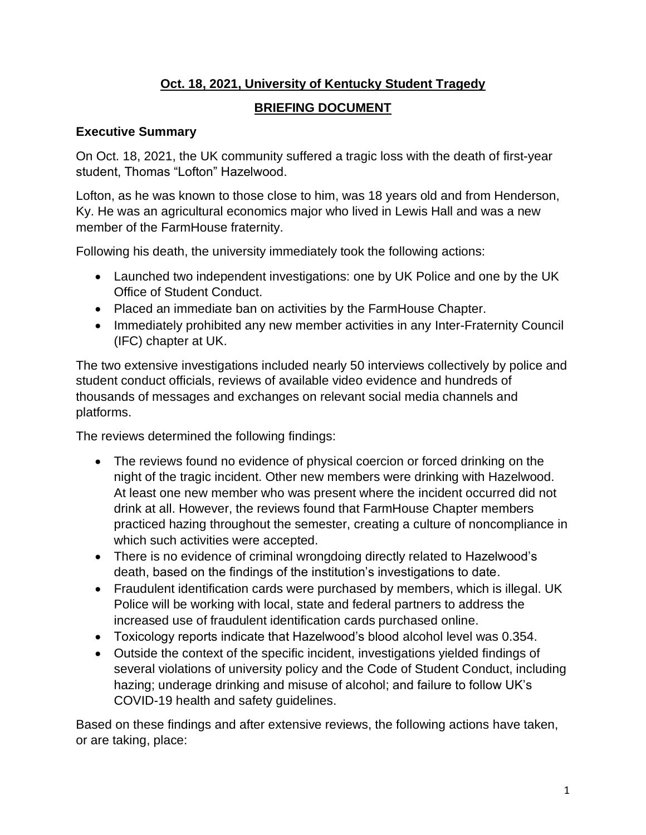# **Oct. 18, 2021, University of Kentucky Student Tragedy**

# **BRIEFING DOCUMENT**

## **Executive Summary**

On Oct. 18, 2021, the UK community suffered a tragic loss with the death of first-year student, Thomas "Lofton" Hazelwood.

Lofton, as he was known to those close to him, was 18 years old and from Henderson, Ky. He was an agricultural economics major who lived in Lewis Hall and was a new member of the FarmHouse fraternity.

Following his death, the university immediately took the following actions:

- Launched two independent investigations: one by UK Police and one by the UK Office of Student Conduct.
- Placed an immediate ban on activities by the FarmHouse Chapter.
- Immediately prohibited any new member activities in any Inter-Fraternity Council (IFC) chapter at UK.

The two extensive investigations included nearly 50 interviews collectively by police and student conduct officials, reviews of available video evidence and hundreds of thousands of messages and exchanges on relevant social media channels and platforms.

The reviews determined the following findings:

- The reviews found no evidence of physical coercion or forced drinking on the night of the tragic incident. Other new members were drinking with Hazelwood. At least one new member who was present where the incident occurred did not drink at all. However, the reviews found that FarmHouse Chapter members practiced hazing throughout the semester, creating a culture of noncompliance in which such activities were accepted.
- There is no evidence of criminal wrongdoing directly related to Hazelwood's death, based on the findings of the institution's investigations to date.
- Fraudulent identification cards were purchased by members, which is illegal. UK Police will be working with local, state and federal partners to address the increased use of fraudulent identification cards purchased online.
- Toxicology reports indicate that Hazelwood's blood alcohol level was 0.354.
- Outside the context of the specific incident, investigations yielded findings of several violations of university policy and the Code of Student Conduct, including hazing; underage drinking and misuse of alcohol; and failure to follow UK's COVID-19 health and safety guidelines.

Based on these findings and after extensive reviews, the following actions have taken, or are taking, place: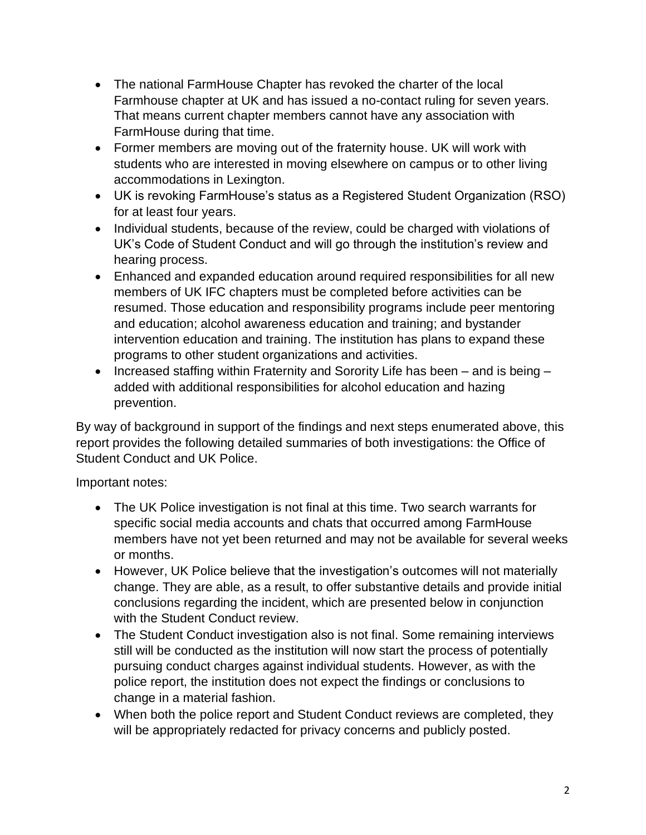- The national FarmHouse Chapter has revoked the charter of the local Farmhouse chapter at UK and has issued a no-contact ruling for seven years. That means current chapter members cannot have any association with FarmHouse during that time.
- Former members are moving out of the fraternity house. UK will work with students who are interested in moving elsewhere on campus or to other living accommodations in Lexington.
- UK is revoking FarmHouse's status as a Registered Student Organization (RSO) for at least four years.
- Individual students, because of the review, could be charged with violations of UK's Code of Student Conduct and will go through the institution's review and hearing process.
- Enhanced and expanded education around required responsibilities for all new members of UK IFC chapters must be completed before activities can be resumed. Those education and responsibility programs include peer mentoring and education; alcohol awareness education and training; and bystander intervention education and training. The institution has plans to expand these programs to other student organizations and activities.
- Increased staffing within Fraternity and Sorority Life has been and is being added with additional responsibilities for alcohol education and hazing prevention.

By way of background in support of the findings and next steps enumerated above, this report provides the following detailed summaries of both investigations: the Office of Student Conduct and UK Police.

Important notes:

- The UK Police investigation is not final at this time. Two search warrants for specific social media accounts and chats that occurred among FarmHouse members have not yet been returned and may not be available for several weeks or months.
- However, UK Police believe that the investigation's outcomes will not materially change. They are able, as a result, to offer substantive details and provide initial conclusions regarding the incident, which are presented below in conjunction with the Student Conduct review.
- The Student Conduct investigation also is not final. Some remaining interviews still will be conducted as the institution will now start the process of potentially pursuing conduct charges against individual students. However, as with the police report, the institution does not expect the findings or conclusions to change in a material fashion.
- When both the police report and Student Conduct reviews are completed, they will be appropriately redacted for privacy concerns and publicly posted.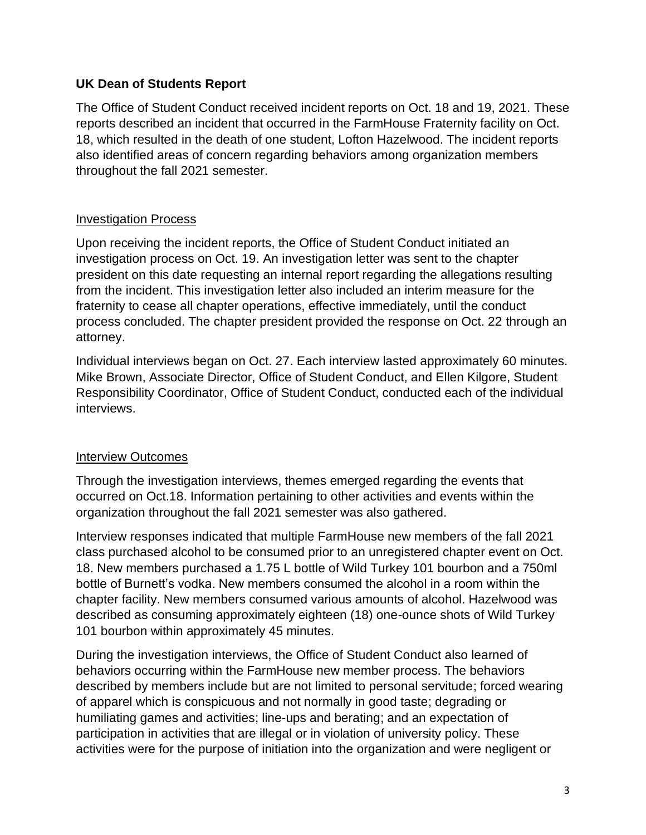## **UK Dean of Students Report**

The Office of Student Conduct received incident reports on Oct. 18 and 19, 2021. These reports described an incident that occurred in the FarmHouse Fraternity facility on Oct. 18, which resulted in the death of one student, Lofton Hazelwood. The incident reports also identified areas of concern regarding behaviors among organization members throughout the fall 2021 semester.

#### Investigation Process

Upon receiving the incident reports, the Office of Student Conduct initiated an investigation process on Oct. 19. An investigation letter was sent to the chapter president on this date requesting an internal report regarding the allegations resulting from the incident. This investigation letter also included an interim measure for the fraternity to cease all chapter operations, effective immediately, until the conduct process concluded. The chapter president provided the response on Oct. 22 through an attorney.

Individual interviews began on Oct. 27. Each interview lasted approximately 60 minutes. Mike Brown, Associate Director, Office of Student Conduct, and Ellen Kilgore, Student Responsibility Coordinator, Office of Student Conduct, conducted each of the individual interviews.

#### Interview Outcomes

Through the investigation interviews, themes emerged regarding the events that occurred on Oct.18. Information pertaining to other activities and events within the organization throughout the fall 2021 semester was also gathered.

Interview responses indicated that multiple FarmHouse new members of the fall 2021 class purchased alcohol to be consumed prior to an unregistered chapter event on Oct. 18. New members purchased a 1.75 L bottle of Wild Turkey 101 bourbon and a 750ml bottle of Burnett's vodka. New members consumed the alcohol in a room within the chapter facility. New members consumed various amounts of alcohol. Hazelwood was described as consuming approximately eighteen (18) one-ounce shots of Wild Turkey 101 bourbon within approximately 45 minutes.

During the investigation interviews, the Office of Student Conduct also learned of behaviors occurring within the FarmHouse new member process. The behaviors described by members include but are not limited to personal servitude; forced wearing of apparel which is conspicuous and not normally in good taste; degrading or humiliating games and activities; line-ups and berating; and an expectation of participation in activities that are illegal or in violation of university policy. These activities were for the purpose of initiation into the organization and were negligent or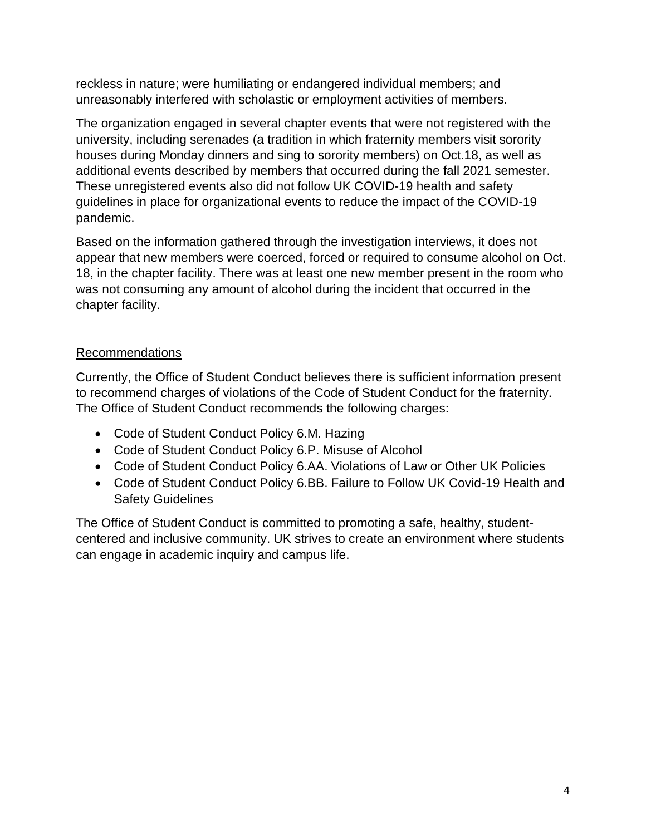reckless in nature; were humiliating or endangered individual members; and unreasonably interfered with scholastic or employment activities of members.

The organization engaged in several chapter events that were not registered with the university, including serenades (a tradition in which fraternity members visit sorority houses during Monday dinners and sing to sorority members) on Oct.18, as well as additional events described by members that occurred during the fall 2021 semester. These unregistered events also did not follow UK COVID-19 health and safety guidelines in place for organizational events to reduce the impact of the COVID-19 pandemic.

Based on the information gathered through the investigation interviews, it does not appear that new members were coerced, forced or required to consume alcohol on Oct. 18, in the chapter facility. There was at least one new member present in the room who was not consuming any amount of alcohol during the incident that occurred in the chapter facility.

# Recommendations

Currently, the Office of Student Conduct believes there is sufficient information present to recommend charges of violations of the Code of Student Conduct for the fraternity. The Office of Student Conduct recommends the following charges:

- Code of Student Conduct Policy 6.M. Hazing
- Code of Student Conduct Policy 6.P. Misuse of Alcohol
- Code of Student Conduct Policy 6.AA. Violations of Law or Other UK Policies
- Code of Student Conduct Policy 6.BB. Failure to Follow UK Covid-19 Health and Safety Guidelines

The Office of Student Conduct is committed to promoting a safe, healthy, studentcentered and inclusive community. UK strives to create an environment where students can engage in academic inquiry and campus life.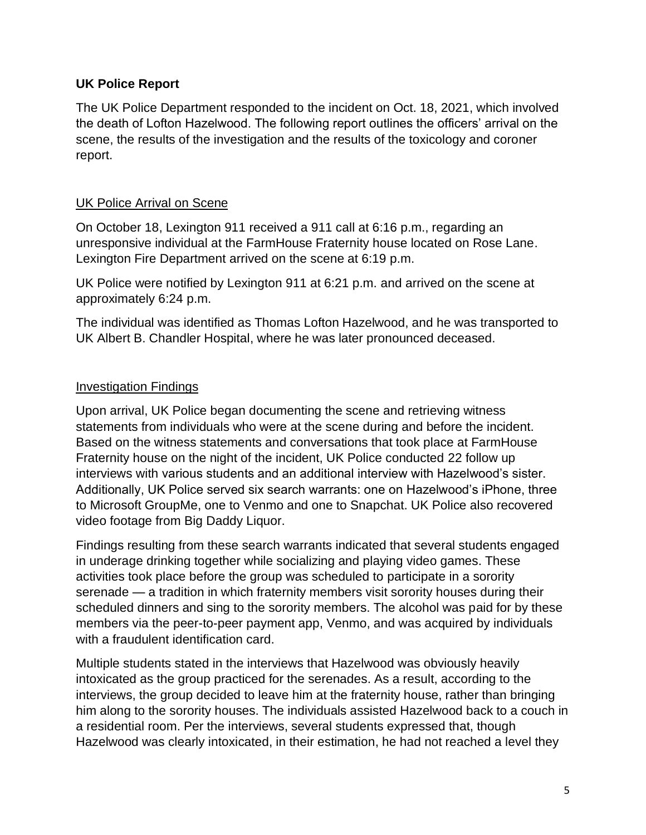## **UK Police Report**

The UK Police Department responded to the incident on Oct. 18, 2021, which involved the death of Lofton Hazelwood. The following report outlines the officers' arrival on the scene, the results of the investigation and the results of the toxicology and coroner report.

# UK Police Arrival on Scene

On October 18, Lexington 911 received a 911 call at 6:16 p.m., regarding an unresponsive individual at the FarmHouse Fraternity house located on Rose Lane. Lexington Fire Department arrived on the scene at 6:19 p.m.

UK Police were notified by Lexington 911 at 6:21 p.m. and arrived on the scene at approximately 6:24 p.m.

The individual was identified as Thomas Lofton Hazelwood, and he was transported to UK Albert B. Chandler Hospital, where he was later pronounced deceased.

# Investigation Findings

Upon arrival, UK Police began documenting the scene and retrieving witness statements from individuals who were at the scene during and before the incident. Based on the witness statements and conversations that took place at FarmHouse Fraternity house on the night of the incident, UK Police conducted 22 follow up interviews with various students and an additional interview with Hazelwood's sister. Additionally, UK Police served six search warrants: one on Hazelwood's iPhone, three to Microsoft GroupMe, one to Venmo and one to Snapchat. UK Police also recovered video footage from Big Daddy Liquor.

Findings resulting from these search warrants indicated that several students engaged in underage drinking together while socializing and playing video games. These activities took place before the group was scheduled to participate in a sorority serenade — a tradition in which fraternity members visit sorority houses during their scheduled dinners and sing to the sorority members. The alcohol was paid for by these members via the peer-to-peer payment app, Venmo, and was acquired by individuals with a fraudulent identification card.

Multiple students stated in the interviews that Hazelwood was obviously heavily intoxicated as the group practiced for the serenades. As a result, according to the interviews, the group decided to leave him at the fraternity house, rather than bringing him along to the sorority houses. The individuals assisted Hazelwood back to a couch in a residential room. Per the interviews, several students expressed that, though Hazelwood was clearly intoxicated, in their estimation, he had not reached a level they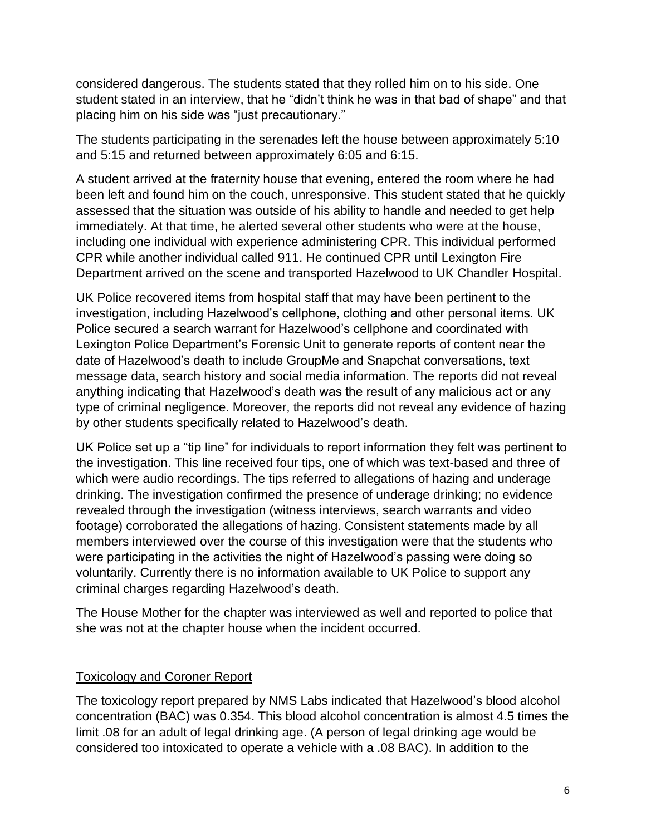considered dangerous. The students stated that they rolled him on to his side. One student stated in an interview, that he "didn't think he was in that bad of shape" and that placing him on his side was "just precautionary."

The students participating in the serenades left the house between approximately 5:10 and 5:15 and returned between approximately 6:05 and 6:15.

A student arrived at the fraternity house that evening, entered the room where he had been left and found him on the couch, unresponsive. This student stated that he quickly assessed that the situation was outside of his ability to handle and needed to get help immediately. At that time, he alerted several other students who were at the house, including one individual with experience administering CPR. This individual performed CPR while another individual called 911. He continued CPR until Lexington Fire Department arrived on the scene and transported Hazelwood to UK Chandler Hospital.

UK Police recovered items from hospital staff that may have been pertinent to the investigation, including Hazelwood's cellphone, clothing and other personal items. UK Police secured a search warrant for Hazelwood's cellphone and coordinated with Lexington Police Department's Forensic Unit to generate reports of content near the date of Hazelwood's death to include GroupMe and Snapchat conversations, text message data, search history and social media information. The reports did not reveal anything indicating that Hazelwood's death was the result of any malicious act or any type of criminal negligence. Moreover, the reports did not reveal any evidence of hazing by other students specifically related to Hazelwood's death.

UK Police set up a "tip line" for individuals to report information they felt was pertinent to the investigation. This line received four tips, one of which was text-based and three of which were audio recordings. The tips referred to allegations of hazing and underage drinking. The investigation confirmed the presence of underage drinking; no evidence revealed through the investigation (witness interviews, search warrants and video footage) corroborated the allegations of hazing. Consistent statements made by all members interviewed over the course of this investigation were that the students who were participating in the activities the night of Hazelwood's passing were doing so voluntarily. Currently there is no information available to UK Police to support any criminal charges regarding Hazelwood's death.

The House Mother for the chapter was interviewed as well and reported to police that she was not at the chapter house when the incident occurred.

## Toxicology and Coroner Report

The toxicology report prepared by NMS Labs indicated that Hazelwood's blood alcohol concentration (BAC) was 0.354. This blood alcohol concentration is almost 4.5 times the limit .08 for an adult of legal drinking age. (A person of legal drinking age would be considered too intoxicated to operate a vehicle with a .08 BAC). In addition to the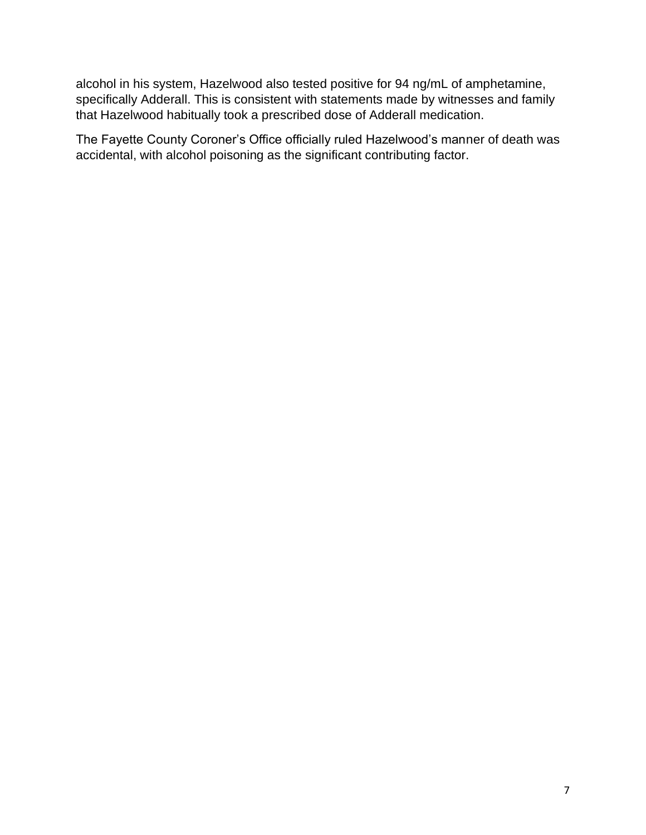alcohol in his system, Hazelwood also tested positive for 94 ng/mL of amphetamine, specifically Adderall. This is consistent with statements made by witnesses and family that Hazelwood habitually took a prescribed dose of Adderall medication.

The Fayette County Coroner's Office officially ruled Hazelwood's manner of death was accidental, with alcohol poisoning as the significant contributing factor.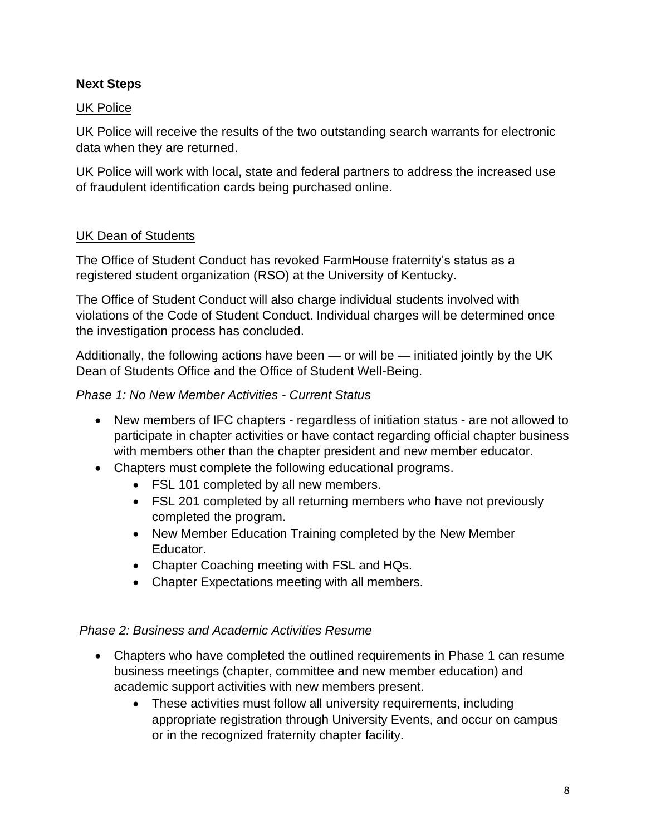## **Next Steps**

#### UK Police

UK Police will receive the results of the two outstanding search warrants for electronic data when they are returned.

UK Police will work with local, state and federal partners to address the increased use of fraudulent identification cards being purchased online.

#### UK Dean of Students

The Office of Student Conduct has revoked FarmHouse fraternity's status as a registered student organization (RSO) at the University of Kentucky.

The Office of Student Conduct will also charge individual students involved with violations of the Code of Student Conduct. Individual charges will be determined once the investigation process has concluded.

Additionally, the following actions have been — or will be — initiated jointly by the UK Dean of Students Office and the Office of Student Well-Being.

#### *Phase 1: No New Member Activities - Current Status*

- New members of IFC chapters regardless of initiation status are not allowed to participate in chapter activities or have contact regarding official chapter business with members other than the chapter president and new member educator.
- Chapters must complete the following educational programs.
	- FSL 101 completed by all new members.
	- FSL 201 completed by all returning members who have not previously completed the program.
	- New Member Education Training completed by the New Member Educator.
	- Chapter Coaching meeting with FSL and HQs.
	- Chapter Expectations meeting with all members.

#### *Phase 2: Business and Academic Activities Resume*

- Chapters who have completed the outlined requirements in Phase 1 can resume business meetings (chapter, committee and new member education) and academic support activities with new members present.
	- These activities must follow all university requirements, including appropriate registration through University Events, and occur on campus or in the recognized fraternity chapter facility.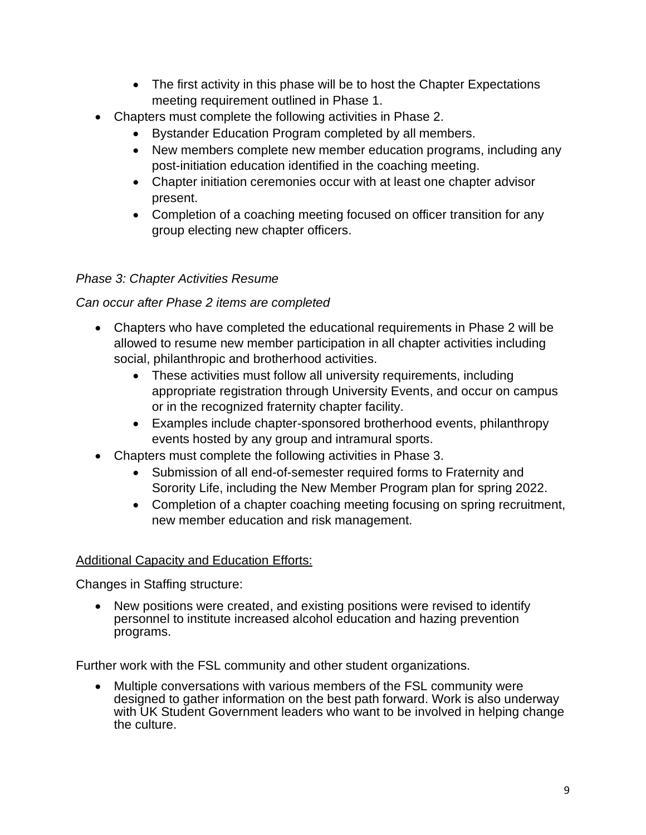- The first activity in this phase will be to host the Chapter Expectations meeting requirement outlined in Phase 1.
- Chapters must complete the following activities in Phase 2.
	- Bystander Education Program completed by all members.
	- New members complete new member education programs, including any post-initiation education identified in the coaching meeting.
	- Chapter initiation ceremonies occur with at least one chapter advisor present.
	- Completion of a coaching meeting focused on officer transition for any group electing new chapter officers.

## *Phase 3: Chapter Activities Resume*

## *Can occur after Phase 2 items are completed*

- Chapters who have completed the educational requirements in Phase 2 will be allowed to resume new member participation in all chapter activities including social, philanthropic and brotherhood activities.
	- These activities must follow all university requirements, including appropriate registration through University Events, and occur on campus or in the recognized fraternity chapter facility.
	- Examples include chapter-sponsored brotherhood events, philanthropy events hosted by any group and intramural sports.
- Chapters must complete the following activities in Phase 3.
	- Submission of all end-of-semester required forms to Fraternity and Sorority Life, including the New Member Program plan for spring 2022.
	- Completion of a chapter coaching meeting focusing on spring recruitment, new member education and risk management.

## Additional Capacity and Education Efforts:

Changes in Staffing structure:

• New positions were created, and existing positions were revised to identify personnel to institute increased alcohol education and hazing prevention programs.

Further work with the FSL community and other student organizations.

• Multiple conversations with various members of the FSL community were designed to gather information on the best path forward. Work is also underway with UK Student Government leaders who want to be involved in helping change the culture.